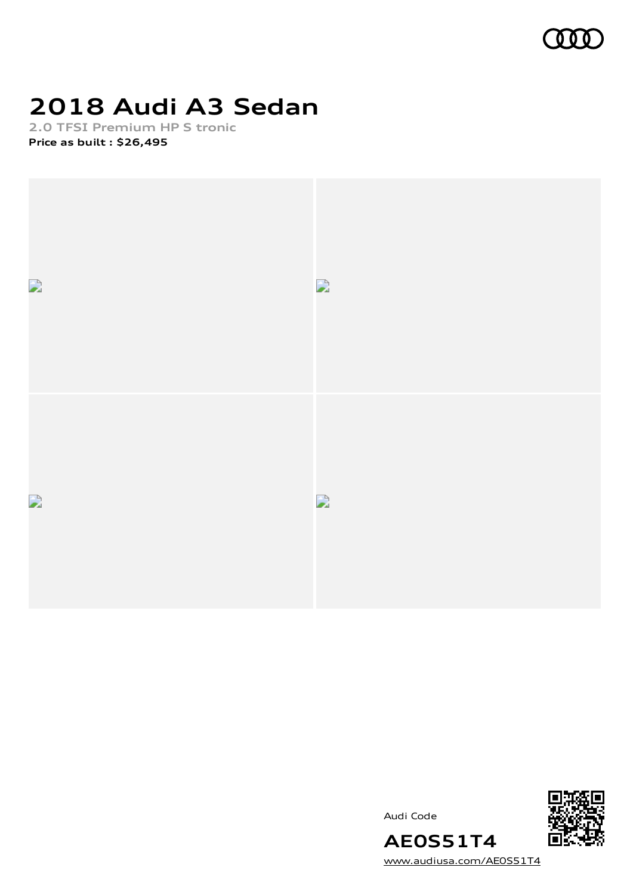

## **2018 Audi A3 Sedan**

**2.0 TFSI Premium HP S tronic Price as built [:](#page-10-0) \$26,495**







[www.audiusa.com/AE0S51T4](https://www.audiusa.com/AE0S51T4)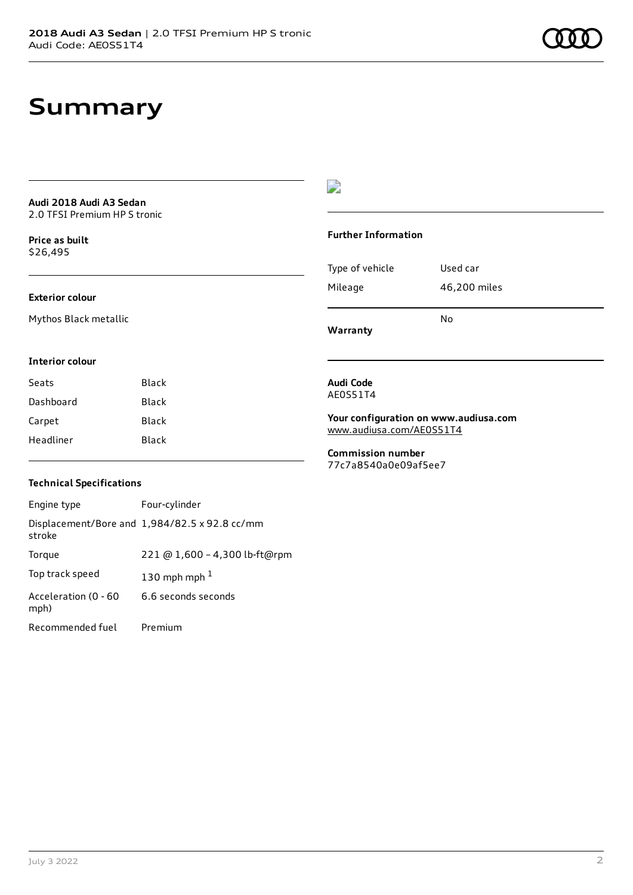### **Summary**

**Audi 2018 Audi A3 Sedan** 2.0 TFSI Premium HP S tronic

**Price as buil[t](#page-10-0)** \$26,495

### **Exterior colour**

Mythos Black metallic

### $\overline{\phantom{a}}$

#### **Further Information**

|                 | No           |
|-----------------|--------------|
| Mileage         | 46,200 miles |
| Type of vehicle | Used car     |

**Warranty**

#### **Interior colour**

| Seats     | Black |
|-----------|-------|
| Dashboard | Black |
| Carpet    | Black |
| Headliner | Black |

### **Audi Code** AE0S51T4

**Your configuration on www.audiusa.com** [www.audiusa.com/AE0S51T4](https://www.audiusa.com/AE0S51T4)

**Commission number** 77c7a8540a0e09af5ee7

#### **Technical Specifications**

| Engine type                  | Four-cylinder                                 |
|------------------------------|-----------------------------------------------|
| stroke                       | Displacement/Bore and 1,984/82.5 x 92.8 cc/mm |
| Torque                       | 221 @ 1,600 - 4,300 lb-ft@rpm                 |
| Top track speed              | 130 mph mph $1$                               |
| Acceleration (0 - 60<br>mph) | 6.6 seconds seconds                           |
| Recommended fuel             | Premium                                       |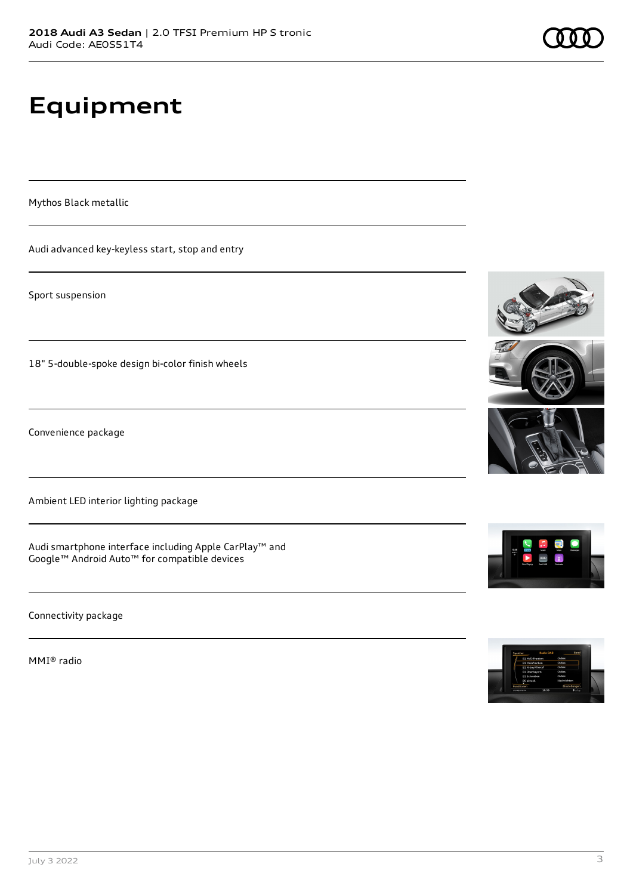# **Equipment**

Mythos Black metallic

Audi advanced key-keyless start, stop and entry

Sport suspension

18" 5-double-spoke design bi-color finish wheels

Convenience package

Ambient LED interior lighting package

Audi smartphone interface including Apple CarPlay™ and Google™ Android Auto™ for compatible devices

Connectivity package

MMI® radio











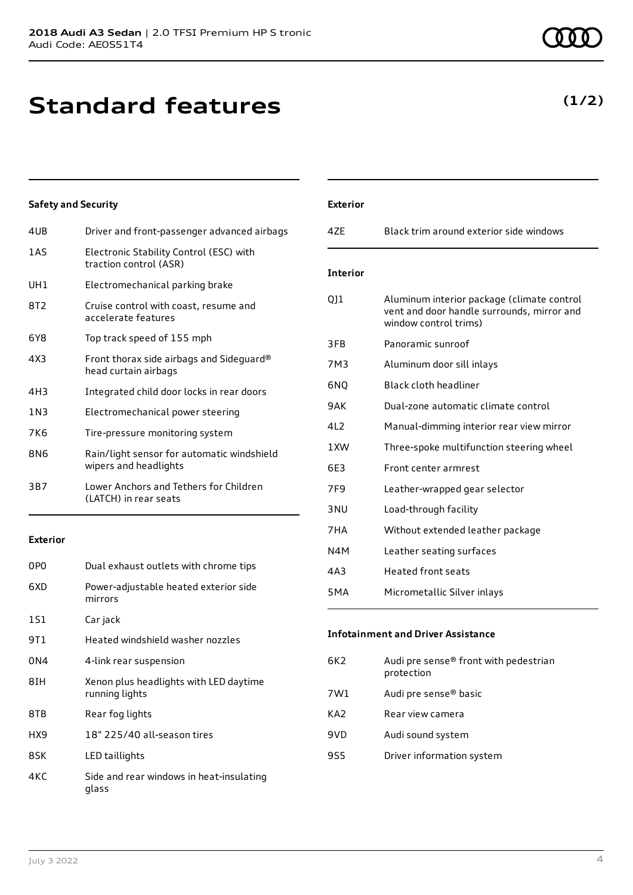### **Standard features**

**Safety and Security**

| 1AS   | Electronic Stability Control (ESC) with<br>traction control (ASR)   |
|-------|---------------------------------------------------------------------|
| UH1   | Electromechanical parking brake                                     |
| 8T2   | Cruise control with coast, resume and<br>accelerate features        |
| 6Y8   | Top track speed of 155 mph                                          |
| 4X3   | Front thorax side airbags and Sideguard®<br>head curtain airbags    |
| 4H3   | Integrated child door locks in rear doors                           |
| 1 N 3 | Electromechanical power steering                                    |
| 7K6   | Tire-pressure monitoring system                                     |
| 8N6   | Rain/light sensor for automatic windshield<br>wipers and headlights |
| 3B7   | Lower Anchors and Tethers for Children<br>(LATCH) in rear seats     |

#### **Exterior**

| 0PO  | Dual exhaust outlets with chrome tips                    |
|------|----------------------------------------------------------|
| 6XD  | Power-adjustable heated exterior side<br>mirrors         |
| 1S1  | Car jack                                                 |
| 9T 1 | Heated windshield washer nozzles                         |
| 0N4  | 4-link rear suspension                                   |
| 8IH  | Xenon plus headlights with LED daytime<br>running lights |
| 8TB  | Rear fog lights                                          |
| HX9  | 18" 225/40 all-season tires                              |
| 8SK  | LED taillights                                           |
| 4KC  | Side and rear windows in heat-insulating<br>glass        |

# 4UB Driver and front-passenger advanced airbags 4ZE Black trim around exterior side windows **Interior**

**Exterior**

| interior        |                                                                                                                   |
|-----------------|-------------------------------------------------------------------------------------------------------------------|
| QJ1             | Aluminum interior package (climate control<br>vent and door handle surrounds, mirror and<br>window control trims) |
| 3FB             | Panoramic sunroof                                                                                                 |
| 7M3             | Aluminum door sill inlays                                                                                         |
| 6NQ             | Black cloth headliner                                                                                             |
| 9AK             | Dual-zone automatic climate control                                                                               |
| 412             | Manual-dimming interior rear view mirror                                                                          |
| 1 XW            | Three-spoke multifunction steering wheel                                                                          |
| 6E3             | Front center armrest                                                                                              |
| 7F <sub>9</sub> | Leather-wrapped gear selector                                                                                     |
| 3 <sub>NU</sub> | Load-through facility                                                                                             |
| 7HA             | Without extended leather package                                                                                  |
| N4M             | Leather seating surfaces                                                                                          |
| 4A3             | <b>Heated front seats</b>                                                                                         |
| 5MA             | Micrometallic Silver inlays                                                                                       |

### **Infotainment and Driver Assistance**

| 6K2 | Audi pre sense® front with pedestrian<br>protection |
|-----|-----------------------------------------------------|
| 7W1 | Audi pre sense <sup>®</sup> basic                   |
| KA2 | Rear view camera                                    |
| 9VD | Audi sound system                                   |
| 9S5 | Driver information system                           |
|     |                                                     |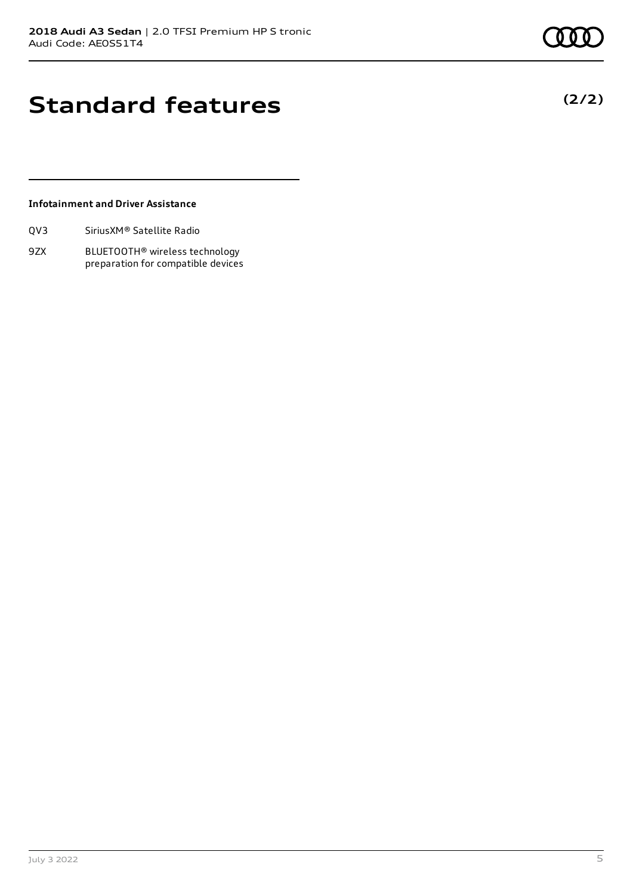**(2/2)**

### **Standard features**

### **Infotainment and Driver Assistance**

| Sirius XM <sup>®</sup> Satellite Radio<br>QV3 |
|-----------------------------------------------|
|-----------------------------------------------|

9ZX BLUETOOTH® wireless technology preparation for compatible devices

July 3 2022 5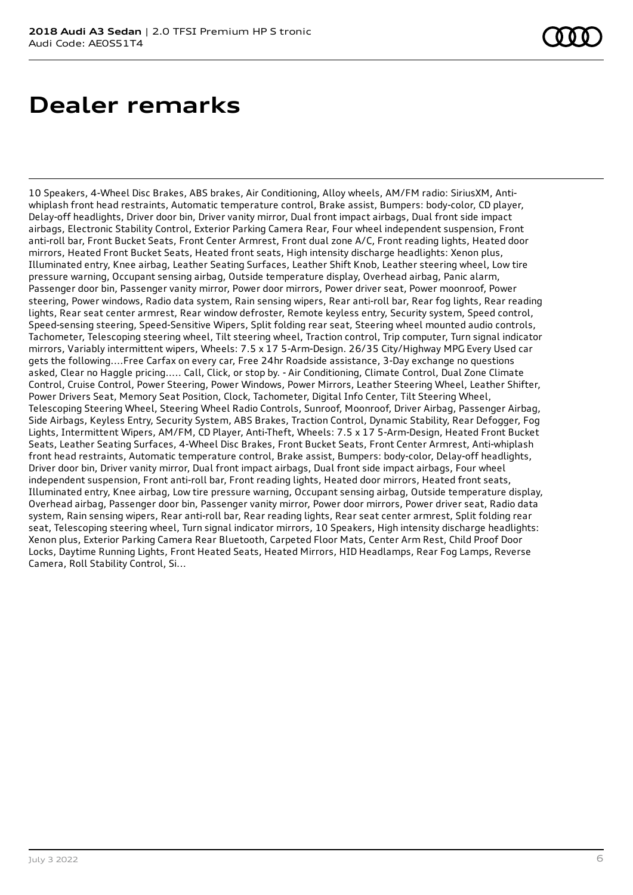10 Speakers, 4-Wheel Disc Brakes, ABS brakes, Air Conditioning, Alloy wheels, AM/FM radio: SiriusXM, Antiwhiplash front head restraints, Automatic temperature control, Brake assist, Bumpers: body-color, CD player, Delay-off headlights, Driver door bin, Driver vanity mirror, Dual front impact airbags, Dual front side impact airbags, Electronic Stability Control, Exterior Parking Camera Rear, Four wheel independent suspension, Front anti-roll bar, Front Bucket Seats, Front Center Armrest, Front dual zone A/C, Front reading lights, Heated door mirrors, Heated Front Bucket Seats, Heated front seats, High intensity discharge headlights: Xenon plus, Illuminated entry, Knee airbag, Leather Seating Surfaces, Leather Shift Knob, Leather steering wheel, Low tire pressure warning, Occupant sensing airbag, Outside temperature display, Overhead airbag, Panic alarm, Passenger door bin, Passenger vanity mirror, Power door mirrors, Power driver seat, Power moonroof, Power steering, Power windows, Radio data system, Rain sensing wipers, Rear anti-roll bar, Rear fog lights, Rear reading lights, Rear seat center armrest, Rear window defroster, Remote keyless entry, Security system, Speed control, Speed-sensing steering, Speed-Sensitive Wipers, Split folding rear seat, Steering wheel mounted audio controls, Tachometer, Telescoping steering wheel, Tilt steering wheel, Traction control, Trip computer, Turn signal indicator mirrors, Variably intermittent wipers, Wheels: 7.5 x 17 5-Arm-Design. 26/35 City/Highway MPG Every Used car gets the following....Free Carfax on every car, Free 24hr Roadside assistance, 3-Day exchange no questions asked, Clear no Haggle pricing..... Call, Click, or stop by. - Air Conditioning, Climate Control, Dual Zone Climate Control, Cruise Control, Power Steering, Power Windows, Power Mirrors, Leather Steering Wheel, Leather Shifter, Power Drivers Seat, Memory Seat Position, Clock, Tachometer, Digital Info Center, Tilt Steering Wheel, Telescoping Steering Wheel, Steering Wheel Radio Controls, Sunroof, Moonroof, Driver Airbag, Passenger Airbag, Side Airbags, Keyless Entry, Security System, ABS Brakes, Traction Control, Dynamic Stability, Rear Defogger, Fog Lights, Intermittent Wipers, AM/FM, CD Player, Anti-Theft, Wheels: 7.5 x 17 5-Arm-Design, Heated Front Bucket Seats, Leather Seating Surfaces, 4-Wheel Disc Brakes, Front Bucket Seats, Front Center Armrest, Anti-whiplash front head restraints, Automatic temperature control, Brake assist, Bumpers: body-color, Delay-off headlights, Driver door bin, Driver vanity mirror, Dual front impact airbags, Dual front side impact airbags, Four wheel independent suspension, Front anti-roll bar, Front reading lights, Heated door mirrors, Heated front seats, Illuminated entry, Knee airbag, Low tire pressure warning, Occupant sensing airbag, Outside temperature display, Overhead airbag, Passenger door bin, Passenger vanity mirror, Power door mirrors, Power driver seat, Radio data system, Rain sensing wipers, Rear anti-roll bar, Rear reading lights, Rear seat center armrest, Split folding rear seat, Telescoping steering wheel, Turn signal indicator mirrors, 10 Speakers, High intensity discharge headlights: Xenon plus, Exterior Parking Camera Rear Bluetooth, Carpeted Floor Mats, Center Arm Rest, Child Proof Door Locks, Daytime Running Lights, Front Heated Seats, Heated Mirrors, HID Headlamps, Rear Fog Lamps, Reverse Camera, Roll Stability Control, Si...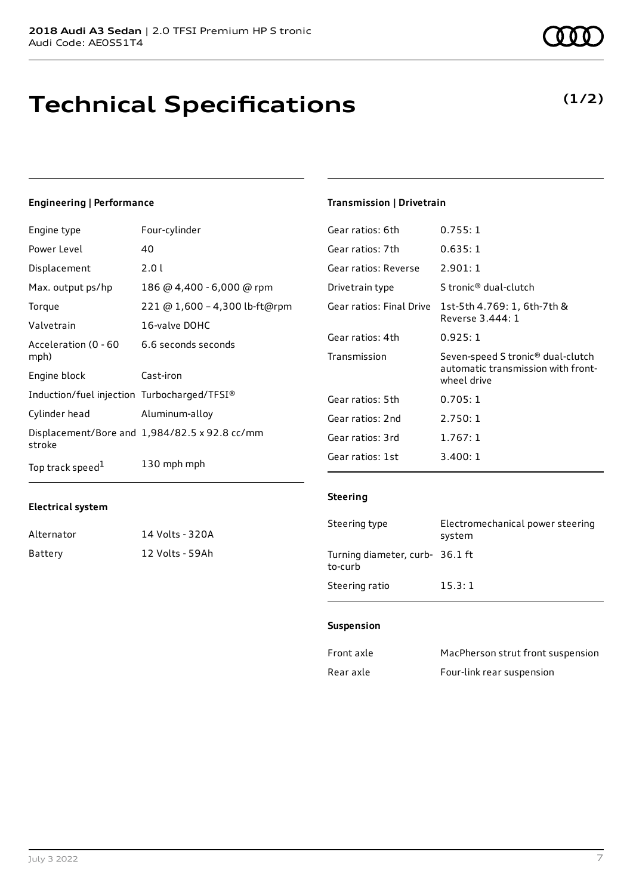### **Technical Specifications**

### **Engineering | Performance**

| Engine type                                 | Four-cylinder                                        | Gear ratios: 6th         | 0.755:1                                         |
|---------------------------------------------|------------------------------------------------------|--------------------------|-------------------------------------------------|
| Power Level                                 | 40                                                   | Gear ratios: 7th         | 0.635:1                                         |
| Displacement                                | 2.01                                                 | Gear ratios: Reverse     | 2.901:1                                         |
| Max. output ps/hp                           | 186 @ 4,400 - 6,000 @ rpm                            | Drivetrain type          | S tronic <sup>®</sup> dual-clutch               |
| Torque                                      | 221 @ 1,600 - 4,300 lb-ft@rpm                        | Gear ratios: Final Drive | 1st-5th 4.769: 1, 6th-7th &                     |
| Valvetrain                                  | 16-valve DOHC                                        |                          | Reverse 3.444: 1                                |
| Acceleration (0 - 60                        | 6.6 seconds seconds                                  | Gear ratios: 4th         | 0.925:1                                         |
| mph)                                        |                                                      | Transmission             | Seven-speed S tronic <sup>®</sup> dual-cluto    |
| Engine block                                | Cast-iron                                            |                          | automatic transmission with fror<br>wheel drive |
| Induction/fuel injection Turbocharged/TFSI® |                                                      | Gear ratios: 5th         | 0.705:1                                         |
| Cylinder head                               | Aluminum-alloy                                       | Gear ratios: 2nd         | 2.750:1                                         |
| stroke                                      | Displacement/Bore and $1,984/82.5 \times 92.8$ cc/mm | Gear ratios: 3rd         | 1.767:1                                         |
| Top track speed <sup>1</sup>                | 130 mph mph                                          | Gear ratios: 1st         | 3.400:1                                         |

### **Electrical system**

| Alternator | 14 Volts - 320A |
|------------|-----------------|
| Battery    | 12 Volts - 59Ah |

### **Transmission | Drivetrain**

| Gear ratios: 7th         | 0.635:1                                                                                            |
|--------------------------|----------------------------------------------------------------------------------------------------|
| Gear ratios: Reverse     | 2.901:1                                                                                            |
| Drivetrain type          | S tronic® dual-clutch                                                                              |
| Gear ratios: Final Drive | 1st-5th 4.769: 1, 6th-7th &<br>Reverse 3.444: 1                                                    |
| Gear ratios: 4th         | 0.925:1                                                                                            |
| Transmission             | Seven-speed S tronic <sup>®</sup> dual-clutch<br>automatic transmission with front-<br>wheel drive |
| Gear ratios: 5th         | 0.705:1                                                                                            |
| Gear ratios: 2nd         | 2.750:1                                                                                            |
| Gear ratios: 3rd         | 1.767:1                                                                                            |
| Gear ratios: 1st         | 3.400:1                                                                                            |
|                          |                                                                                                    |

### **Steering**

| Steering type                              | Electromechanical power steering<br>system |
|--------------------------------------------|--------------------------------------------|
| Turning diameter, curb- 36.1 ft<br>to-curb |                                            |
| Steering ratio                             | 15.3:1                                     |

#### **Suspension**

| Front axle | MacPherson strut front suspension |
|------------|-----------------------------------|
| Rear axle  | Four-link rear suspension         |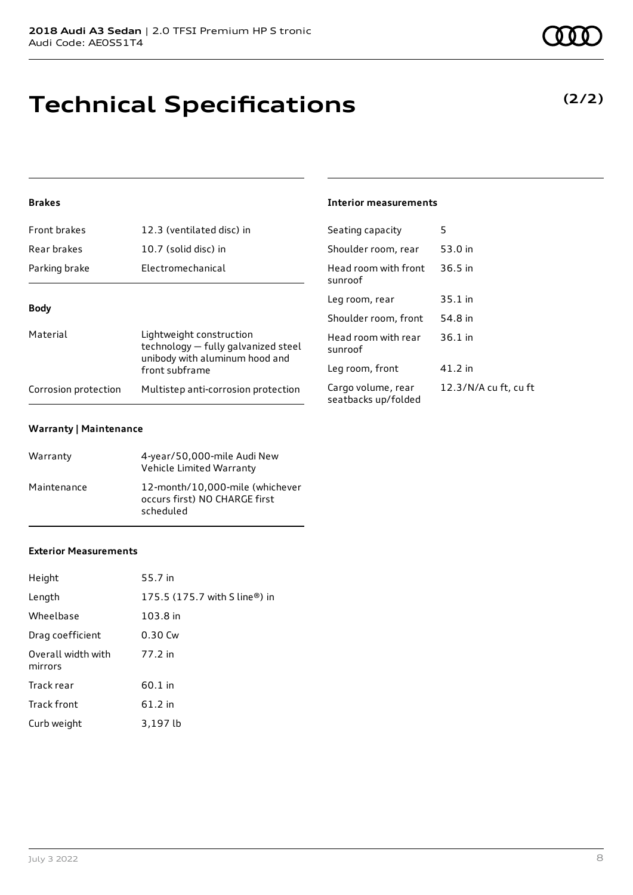### **Technical Specifications**

### **Brakes**

| <b>Front brakes</b>  | 12.3 (ventilated disc) in                                                                         | Seating capacity                       |
|----------------------|---------------------------------------------------------------------------------------------------|----------------------------------------|
| Rear brakes          | 10.7 (solid disc) in                                                                              | Shoulder room, re                      |
| Parking brake        | Electromechanical                                                                                 | Head room with fi<br>sunroof           |
| <b>Body</b>          |                                                                                                   | Leg room, rear                         |
|                      |                                                                                                   | Shoulder room, fr                      |
| Material             | Lightweight construction<br>technology – fully galvanized steel<br>unibody with aluminum hood and | Head room with re<br>sunroof           |
|                      | front subframe                                                                                    | Leg room, front                        |
| Corrosion protection | Multistep anti-corrosion protection                                                               | Cargo volume, rea<br>seatbacks un/fold |

#### **Warranty | Maintenance**

| Warranty    | 4-year/50,000-mile Audi New<br>Vehicle Limited Warranty                       |
|-------------|-------------------------------------------------------------------------------|
| Maintenance | 12-month/10,000-mile (whichever<br>occurs first) NO CHARGE first<br>scheduled |

#### **Exterior Measurements**

| Height                        | 55.7 in                       |
|-------------------------------|-------------------------------|
| Length                        | 175.5 (175.7 with S line®) in |
| Wheelbase                     | 103.8 in                      |
| Drag coefficient              | 0.30 Cw                       |
| Overall width with<br>mirrors | 77.2 in                       |
| Track rear                    | 60.1 in                       |
| Track front                   | 61.2 in                       |
| Curb weight                   | 3,197 lb                      |

#### **Interior measurements**

| Seating capacity                          | 5                     |
|-------------------------------------------|-----------------------|
| Shoulder room, rear                       | 53.0 in               |
| Head room with front<br>sunroof           | $36.5$ in             |
| Leg room, rear                            | 35.1 in               |
| Shoulder room, front                      | 54.8 in               |
| Head room with rear<br>sunroof            | $36.1$ in             |
| Leg room, front                           | 41.2 in               |
| Cargo volume, rear<br>seatbacks up/folded | 12.3/N/A cu ft, cu ft |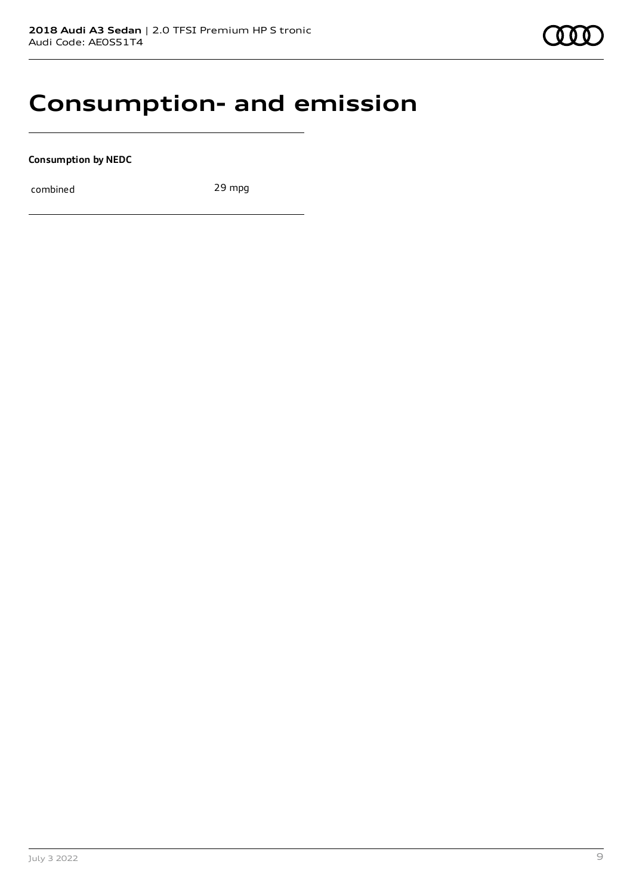### **Consumption- and emission**

**Consumption by NEDC**

combined 29 mpg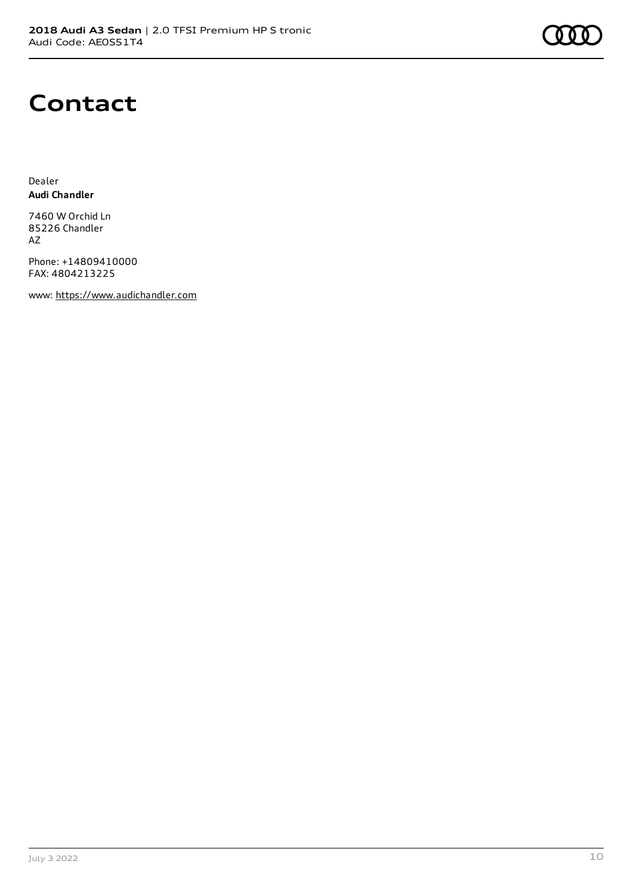### **Contact**

Dealer **Audi Chandler**

7460 W Orchid Ln 85226 Chandler AZ

Phone: +14809410000 FAX: 4804213225

www: [https://www.audichandler.com](https://www.audichandler.com/)